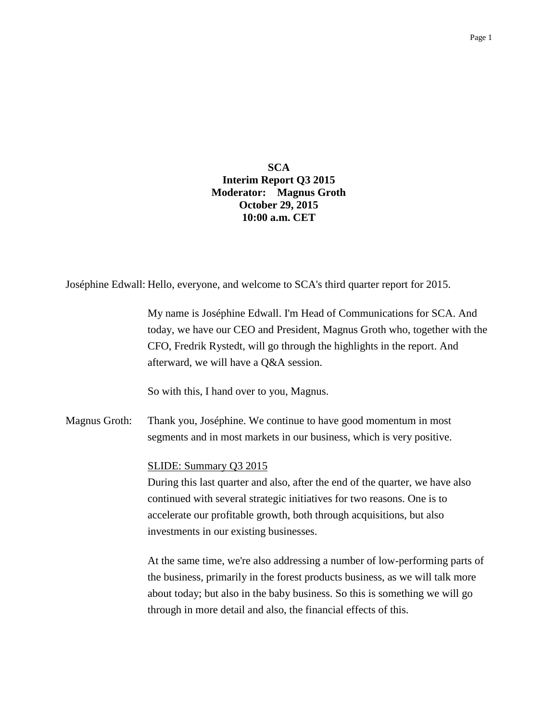**SCA Interim Report Q3 2015 Moderator: Magnus Groth October 29, 2015 10:00 a.m. CET**

Joséphine Edwall: Hello, everyone, and welcome to SCA's third quarter report for 2015.

My name is Joséphine Edwall. I'm Head of Communications for SCA. And today, we have our CEO and President, Magnus Groth who, together with the CFO, Fredrik Rystedt, will go through the highlights in the report. And afterward, we will have a Q&A session.

So with this, I hand over to you, Magnus.

Magnus Groth: Thank you, Joséphine. We continue to have good momentum in most segments and in most markets in our business, which is very positive.

### SLIDE: Summary Q3 2015

During this last quarter and also, after the end of the quarter, we have also continued with several strategic initiatives for two reasons. One is to accelerate our profitable growth, both through acquisitions, but also investments in our existing businesses.

At the same time, we're also addressing a number of low-performing parts of the business, primarily in the forest products business, as we will talk more about today; but also in the baby business. So this is something we will go through in more detail and also, the financial effects of this.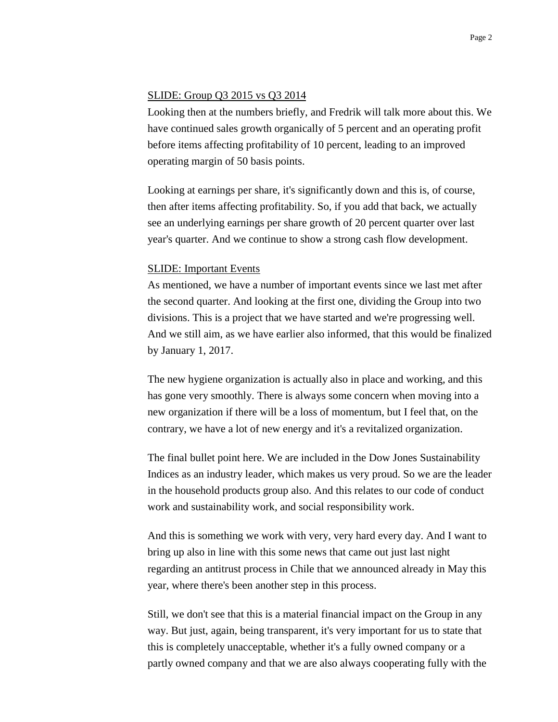#### SLIDE: Group Q3 2015 vs Q3 2014

Looking then at the numbers briefly, and Fredrik will talk more about this. We have continued sales growth organically of 5 percent and an operating profit before items affecting profitability of 10 percent, leading to an improved operating margin of 50 basis points.

Looking at earnings per share, it's significantly down and this is, of course, then after items affecting profitability. So, if you add that back, we actually see an underlying earnings per share growth of 20 percent quarter over last year's quarter. And we continue to show a strong cash flow development.

### SLIDE: Important Events

As mentioned, we have a number of important events since we last met after the second quarter. And looking at the first one, dividing the Group into two divisions. This is a project that we have started and we're progressing well. And we still aim, as we have earlier also informed, that this would be finalized by January 1, 2017.

The new hygiene organization is actually also in place and working, and this has gone very smoothly. There is always some concern when moving into a new organization if there will be a loss of momentum, but I feel that, on the contrary, we have a lot of new energy and it's a revitalized organization.

The final bullet point here. We are included in the Dow Jones Sustainability Indices as an industry leader, which makes us very proud. So we are the leader in the household products group also. And this relates to our code of conduct work and sustainability work, and social responsibility work.

And this is something we work with very, very hard every day. And I want to bring up also in line with this some news that came out just last night regarding an antitrust process in Chile that we announced already in May this year, where there's been another step in this process.

Still, we don't see that this is a material financial impact on the Group in any way. But just, again, being transparent, it's very important for us to state that this is completely unacceptable, whether it's a fully owned company or a partly owned company and that we are also always cooperating fully with the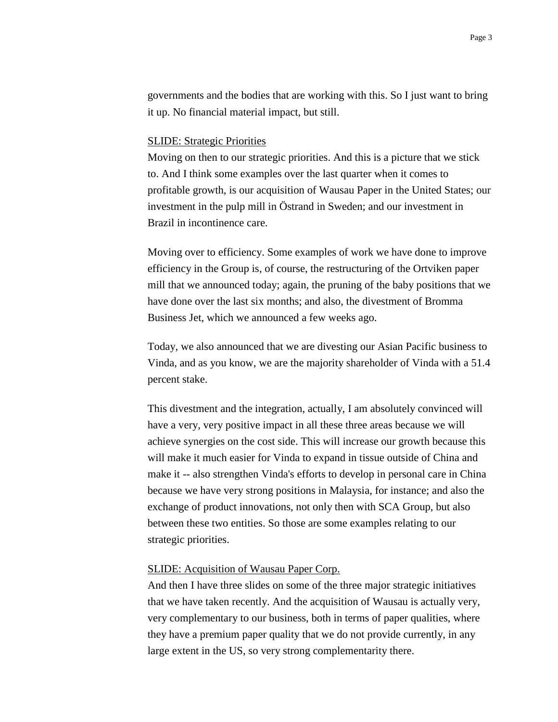governments and the bodies that are working with this. So I just want to bring it up. No financial material impact, but still.

### SLIDE: Strategic Priorities

Moving on then to our strategic priorities. And this is a picture that we stick to. And I think some examples over the last quarter when it comes to profitable growth, is our acquisition of Wausau Paper in the United States; our investment in the pulp mill in Östrand in Sweden; and our investment in Brazil in incontinence care.

Moving over to efficiency. Some examples of work we have done to improve efficiency in the Group is, of course, the restructuring of the Ortviken paper mill that we announced today; again, the pruning of the baby positions that we have done over the last six months; and also, the divestment of Bromma Business Jet, which we announced a few weeks ago.

Today, we also announced that we are divesting our Asian Pacific business to Vinda, and as you know, we are the majority shareholder of Vinda with a 51.4 percent stake.

This divestment and the integration, actually, I am absolutely convinced will have a very, very positive impact in all these three areas because we will achieve synergies on the cost side. This will increase our growth because this will make it much easier for Vinda to expand in tissue outside of China and make it -- also strengthen Vinda's efforts to develop in personal care in China because we have very strong positions in Malaysia, for instance; and also the exchange of product innovations, not only then with SCA Group, but also between these two entities. So those are some examples relating to our strategic priorities.

### SLIDE: Acquisition of Wausau Paper Corp.

And then I have three slides on some of the three major strategic initiatives that we have taken recently. And the acquisition of Wausau is actually very, very complementary to our business, both in terms of paper qualities, where they have a premium paper quality that we do not provide currently, in any large extent in the US, so very strong complementarity there.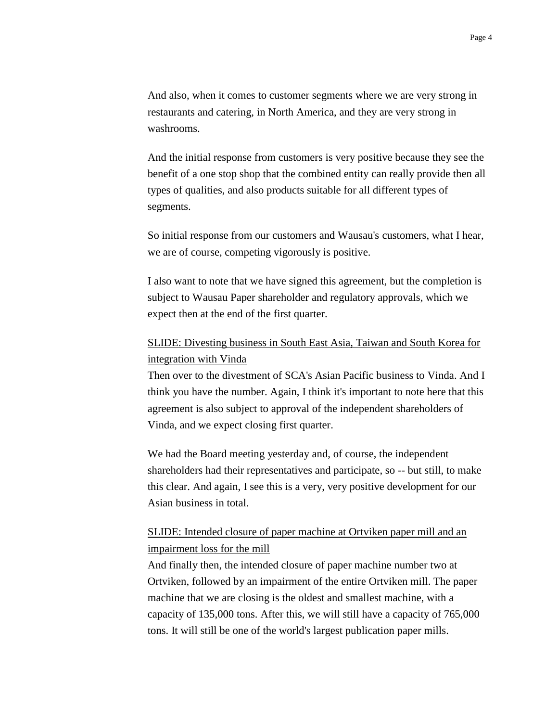And also, when it comes to customer segments where we are very strong in restaurants and catering, in North America, and they are very strong in washrooms.

And the initial response from customers is very positive because they see the benefit of a one stop shop that the combined entity can really provide then all types of qualities, and also products suitable for all different types of segments.

So initial response from our customers and Wausau's customers, what I hear, we are of course, competing vigorously is positive.

I also want to note that we have signed this agreement, but the completion is subject to Wausau Paper shareholder and regulatory approvals, which we expect then at the end of the first quarter.

# SLIDE: Divesting business in South East Asia, Taiwan and South Korea for integration with Vinda

Then over to the divestment of SCA's Asian Pacific business to Vinda. And I think you have the number. Again, I think it's important to note here that this agreement is also subject to approval of the independent shareholders of Vinda, and we expect closing first quarter.

We had the Board meeting yesterday and, of course, the independent shareholders had their representatives and participate, so -- but still, to make this clear. And again, I see this is a very, very positive development for our Asian business in total.

## SLIDE: Intended closure of paper machine at Ortviken paper mill and an impairment loss for the mill

And finally then, the intended closure of paper machine number two at Ortviken, followed by an impairment of the entire Ortviken mill. The paper machine that we are closing is the oldest and smallest machine, with a capacity of 135,000 tons. After this, we will still have a capacity of 765,000 tons. It will still be one of the world's largest publication paper mills.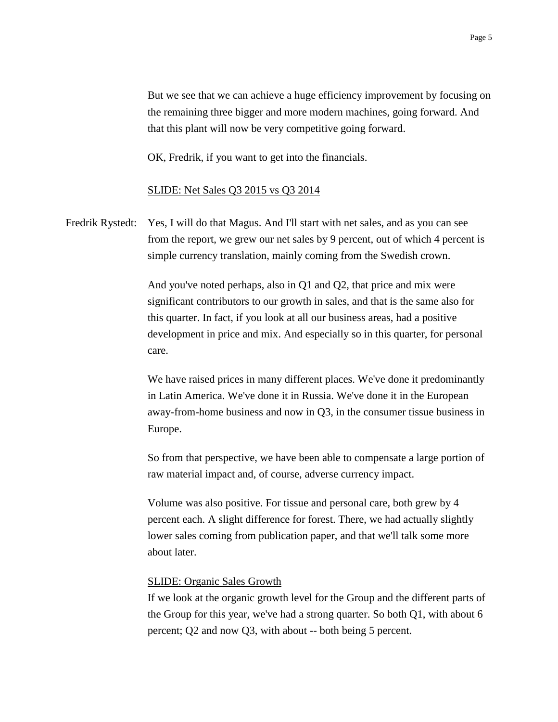But we see that we can achieve a huge efficiency improvement by focusing on the remaining three bigger and more modern machines, going forward. And that this plant will now be very competitive going forward.

OK, Fredrik, if you want to get into the financials.

### SLIDE: Net Sales Q3 2015 vs Q3 2014

Fredrik Rystedt: Yes, I will do that Magus. And I'll start with net sales, and as you can see from the report, we grew our net sales by 9 percent, out of which 4 percent is simple currency translation, mainly coming from the Swedish crown.

> And you've noted perhaps, also in Q1 and Q2, that price and mix were significant contributors to our growth in sales, and that is the same also for this quarter. In fact, if you look at all our business areas, had a positive development in price and mix. And especially so in this quarter, for personal care.

> We have raised prices in many different places. We've done it predominantly in Latin America. We've done it in Russia. We've done it in the European away-from-home business and now in Q3, in the consumer tissue business in Europe.

> So from that perspective, we have been able to compensate a large portion of raw material impact and, of course, adverse currency impact.

Volume was also positive. For tissue and personal care, both grew by 4 percent each. A slight difference for forest. There, we had actually slightly lower sales coming from publication paper, and that we'll talk some more about later.

### SLIDE: Organic Sales Growth

If we look at the organic growth level for the Group and the different parts of the Group for this year, we've had a strong quarter. So both Q1, with about 6 percent; Q2 and now Q3, with about -- both being 5 percent.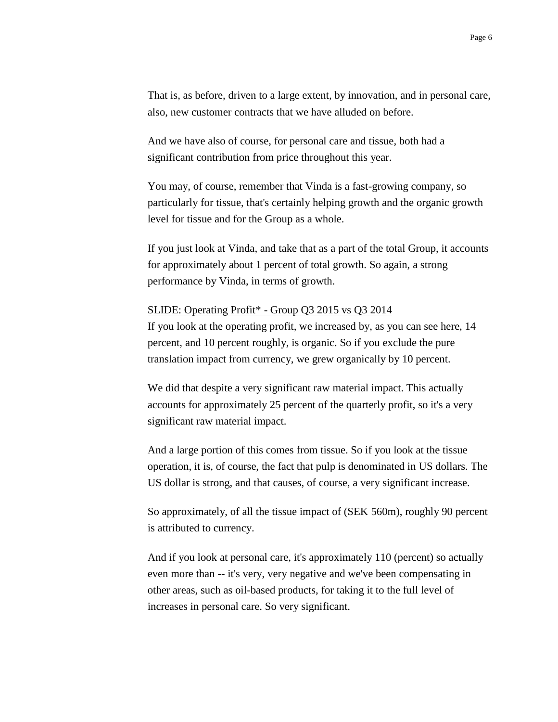That is, as before, driven to a large extent, by innovation, and in personal care, also, new customer contracts that we have alluded on before.

And we have also of course, for personal care and tissue, both had a significant contribution from price throughout this year.

You may, of course, remember that Vinda is a fast-growing company, so particularly for tissue, that's certainly helping growth and the organic growth level for tissue and for the Group as a whole.

If you just look at Vinda, and take that as a part of the total Group, it accounts for approximately about 1 percent of total growth. So again, a strong performance by Vinda, in terms of growth.

### SLIDE: Operating Profit\* - Group Q3 2015 vs Q3 2014

If you look at the operating profit, we increased by, as you can see here, 14 percent, and 10 percent roughly, is organic. So if you exclude the pure translation impact from currency, we grew organically by 10 percent.

We did that despite a very significant raw material impact. This actually accounts for approximately 25 percent of the quarterly profit, so it's a very significant raw material impact.

And a large portion of this comes from tissue. So if you look at the tissue operation, it is, of course, the fact that pulp is denominated in US dollars. The US dollar is strong, and that causes, of course, a very significant increase.

So approximately, of all the tissue impact of (SEK 560m), roughly 90 percent is attributed to currency.

And if you look at personal care, it's approximately 110 (percent) so actually even more than -- it's very, very negative and we've been compensating in other areas, such as oil-based products, for taking it to the full level of increases in personal care. So very significant.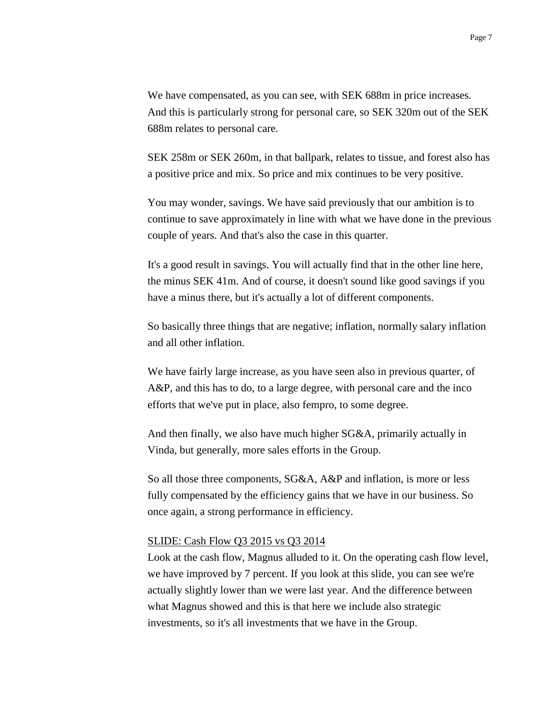We have compensated, as you can see, with SEK 688m in price increases. And this is particularly strong for personal care, so SEK 320m out of the SEK 688m relates to personal care.

SEK 258m or SEK 260m, in that ballpark, relates to tissue, and forest also has a positive price and mix. So price and mix continues to be very positive.

You may wonder, savings. We have said previously that our ambition is to continue to save approximately in line with what we have done in the previous couple of years. And that's also the case in this quarter.

It's a good result in savings. You will actually find that in the other line here, the minus SEK 41m. And of course, it doesn't sound like good savings if you have a minus there, but it's actually a lot of different components.

So basically three things that are negative; inflation, normally salary inflation and all other inflation.

We have fairly large increase, as you have seen also in previous quarter, of A&P, and this has to do, to a large degree, with personal care and the inco efforts that we've put in place, also fempro, to some degree.

And then finally, we also have much higher SG&A, primarily actually in Vinda, but generally, more sales efforts in the Group.

So all those three components, SG&A, A&P and inflation, is more or less fully compensated by the efficiency gains that we have in our business. So once again, a strong performance in efficiency.

### SLIDE: Cash Flow Q3 2015 vs Q3 2014

Look at the cash flow, Magnus alluded to it. On the operating cash flow level, we have improved by 7 percent. If you look at this slide, you can see we're actually slightly lower than we were last year. And the difference between what Magnus showed and this is that here we include also strategic investments, so it's all investments that we have in the Group.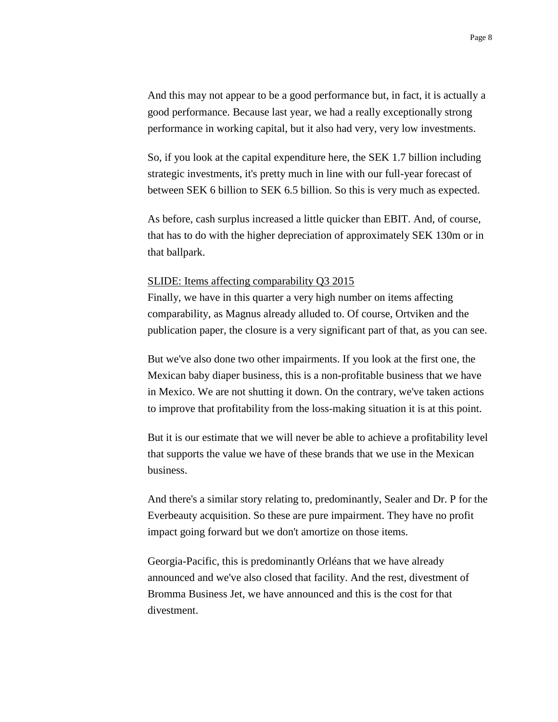And this may not appear to be a good performance but, in fact, it is actually a good performance. Because last year, we had a really exceptionally strong performance in working capital, but it also had very, very low investments.

So, if you look at the capital expenditure here, the SEK 1.7 billion including strategic investments, it's pretty much in line with our full-year forecast of between SEK 6 billion to SEK 6.5 billion. So this is very much as expected.

As before, cash surplus increased a little quicker than EBIT. And, of course, that has to do with the higher depreciation of approximately SEK 130m or in that ballpark.

#### SLIDE: Items affecting comparability Q3 2015

Finally, we have in this quarter a very high number on items affecting comparability, as Magnus already alluded to. Of course, Ortviken and the publication paper, the closure is a very significant part of that, as you can see.

But we've also done two other impairments. If you look at the first one, the Mexican baby diaper business, this is a non-profitable business that we have in Mexico. We are not shutting it down. On the contrary, we've taken actions to improve that profitability from the loss-making situation it is at this point.

But it is our estimate that we will never be able to achieve a profitability level that supports the value we have of these brands that we use in the Mexican business.

And there's a similar story relating to, predominantly, Sealer and Dr. P for the Everbeauty acquisition. So these are pure impairment. They have no profit impact going forward but we don't amortize on those items.

Georgia-Pacific, this is predominantly Orléans that we have already announced and we've also closed that facility. And the rest, divestment of Bromma Business Jet, we have announced and this is the cost for that divestment.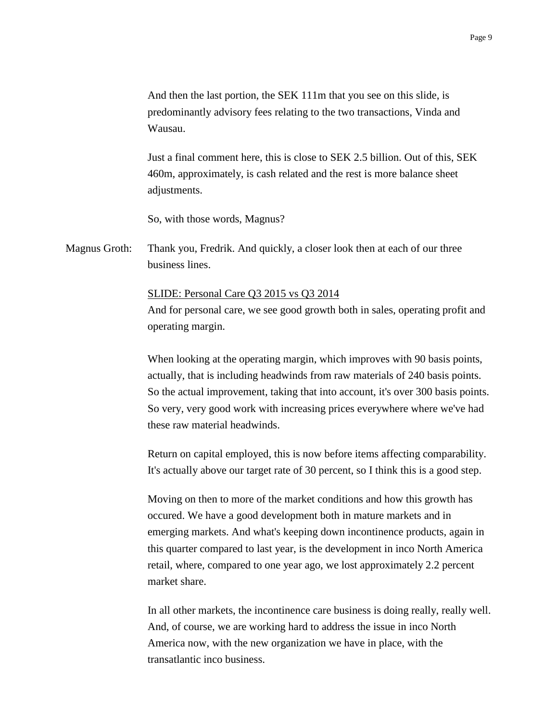And then the last portion, the SEK 111m that you see on this slide, is predominantly advisory fees relating to the two transactions, Vinda and Wausau.

Just a final comment here, this is close to SEK 2.5 billion. Out of this, SEK 460m, approximately, is cash related and the rest is more balance sheet adjustments.

So, with those words, Magnus?

Magnus Groth: Thank you, Fredrik. And quickly, a closer look then at each of our three business lines.

SLIDE: Personal Care Q3 2015 vs Q3 2014

And for personal care, we see good growth both in sales, operating profit and operating margin.

When looking at the operating margin, which improves with 90 basis points, actually, that is including headwinds from raw materials of 240 basis points. So the actual improvement, taking that into account, it's over 300 basis points. So very, very good work with increasing prices everywhere where we've had these raw material headwinds.

Return on capital employed, this is now before items affecting comparability. It's actually above our target rate of 30 percent, so I think this is a good step.

Moving on then to more of the market conditions and how this growth has occured. We have a good development both in mature markets and in emerging markets. And what's keeping down incontinence products, again in this quarter compared to last year, is the development in inco North America retail, where, compared to one year ago, we lost approximately 2.2 percent market share.

In all other markets, the incontinence care business is doing really, really well. And, of course, we are working hard to address the issue in inco North America now, with the new organization we have in place, with the transatlantic inco business.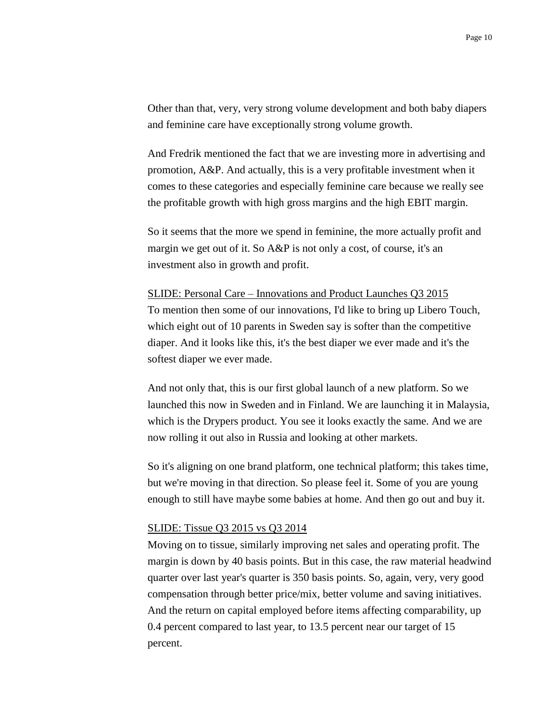Other than that, very, very strong volume development and both baby diapers and feminine care have exceptionally strong volume growth.

And Fredrik mentioned the fact that we are investing more in advertising and promotion, A&P. And actually, this is a very profitable investment when it comes to these categories and especially feminine care because we really see the profitable growth with high gross margins and the high EBIT margin.

So it seems that the more we spend in feminine, the more actually profit and margin we get out of it. So A&P is not only a cost, of course, it's an investment also in growth and profit.

#### SLIDE: Personal Care – Innovations and Product Launches Q3 2015

To mention then some of our innovations, I'd like to bring up Libero Touch, which eight out of 10 parents in Sweden say is softer than the competitive diaper. And it looks like this, it's the best diaper we ever made and it's the softest diaper we ever made.

And not only that, this is our first global launch of a new platform. So we launched this now in Sweden and in Finland. We are launching it in Malaysia, which is the Drypers product. You see it looks exactly the same. And we are now rolling it out also in Russia and looking at other markets.

So it's aligning on one brand platform, one technical platform; this takes time, but we're moving in that direction. So please feel it. Some of you are young enough to still have maybe some babies at home. And then go out and buy it.

#### SLIDE: Tissue Q3 2015 vs Q3 2014

Moving on to tissue, similarly improving net sales and operating profit. The margin is down by 40 basis points. But in this case, the raw material headwind quarter over last year's quarter is 350 basis points. So, again, very, very good compensation through better price/mix, better volume and saving initiatives. And the return on capital employed before items affecting comparability, up 0.4 percent compared to last year, to 13.5 percent near our target of 15 percent.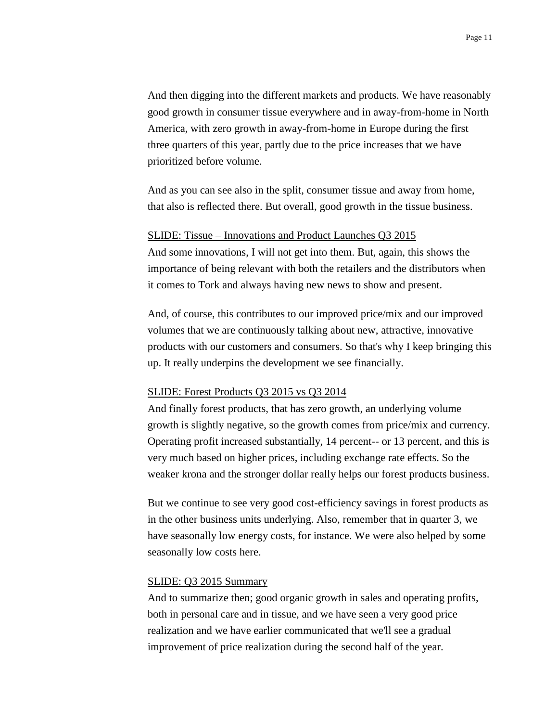And then digging into the different markets and products. We have reasonably good growth in consumer tissue everywhere and in away-from-home in North America, with zero growth in away-from-home in Europe during the first three quarters of this year, partly due to the price increases that we have prioritized before volume.

And as you can see also in the split, consumer tissue and away from home, that also is reflected there. But overall, good growth in the tissue business.

#### SLIDE: Tissue – Innovations and Product Launches Q3 2015

And some innovations, I will not get into them. But, again, this shows the importance of being relevant with both the retailers and the distributors when it comes to Tork and always having new news to show and present.

And, of course, this contributes to our improved price/mix and our improved volumes that we are continuously talking about new, attractive, innovative products with our customers and consumers. So that's why I keep bringing this up. It really underpins the development we see financially.

### SLIDE: Forest Products Q3 2015 vs Q3 2014

And finally forest products, that has zero growth, an underlying volume growth is slightly negative, so the growth comes from price/mix and currency. Operating profit increased substantially, 14 percent-- or 13 percent, and this is very much based on higher prices, including exchange rate effects. So the weaker krona and the stronger dollar really helps our forest products business.

But we continue to see very good cost-efficiency savings in forest products as in the other business units underlying. Also, remember that in quarter 3, we have seasonally low energy costs, for instance. We were also helped by some seasonally low costs here.

### SLIDE: Q3 2015 Summary

And to summarize then; good organic growth in sales and operating profits, both in personal care and in tissue, and we have seen a very good price realization and we have earlier communicated that we'll see a gradual improvement of price realization during the second half of the year.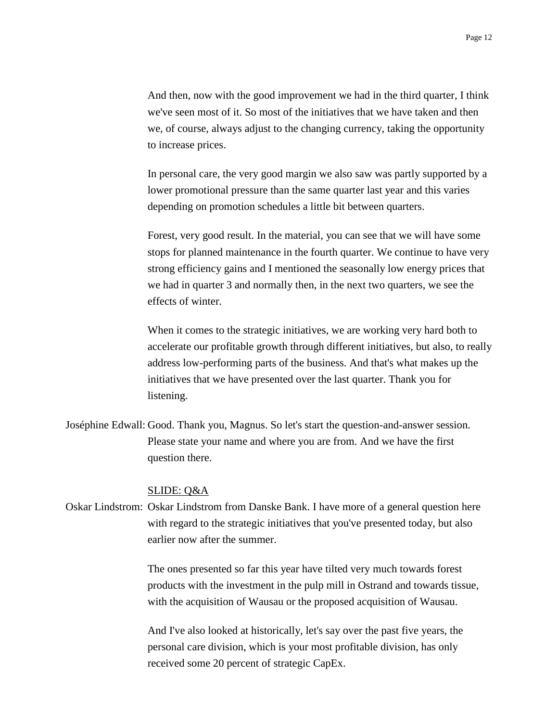And then, now with the good improvement we had in the third quarter, I think we've seen most of it. So most of the initiatives that we have taken and then we, of course, always adjust to the changing currency, taking the opportunity to increase prices.

In personal care, the very good margin we also saw was partly supported by a lower promotional pressure than the same quarter last year and this varies depending on promotion schedules a little bit between quarters.

Forest, very good result. In the material, you can see that we will have some stops for planned maintenance in the fourth quarter. We continue to have very strong efficiency gains and I mentioned the seasonally low energy prices that we had in quarter 3 and normally then, in the next two quarters, we see the effects of winter.

When it comes to the strategic initiatives, we are working very hard both to accelerate our profitable growth through different initiatives, but also, to really address low-performing parts of the business. And that's what makes up the initiatives that we have presented over the last quarter. Thank you for listening.

Joséphine Edwall: Good. Thank you, Magnus. So let's start the question-and-answer session. Please state your name and where you are from. And we have the first question there.

### SLIDE: Q&A

Oskar Lindstrom: Oskar Lindstrom from Danske Bank. I have more of a general question here with regard to the strategic initiatives that you've presented today, but also earlier now after the summer.

> The ones presented so far this year have tilted very much towards forest products with the investment in the pulp mill in Ostrand and towards tissue, with the acquisition of Wausau or the proposed acquisition of Wausau.

And I've also looked at historically, let's say over the past five years, the personal care division, which is your most profitable division, has only received some 20 percent of strategic CapEx.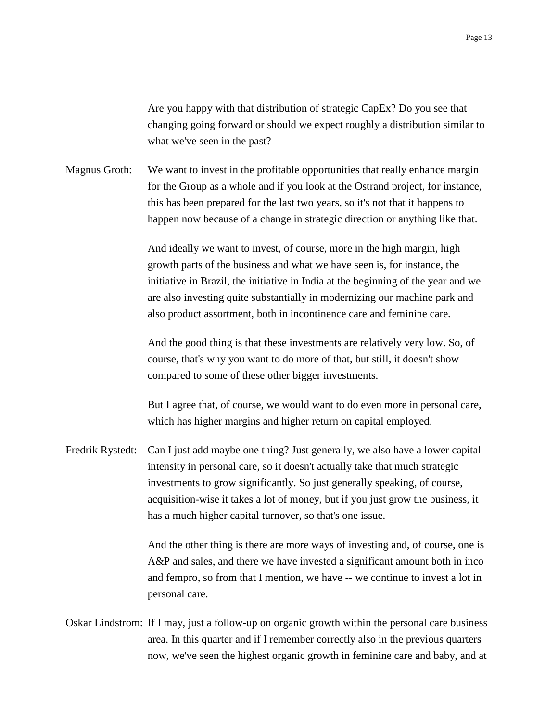Are you happy with that distribution of strategic CapEx? Do you see that changing going forward or should we expect roughly a distribution similar to what we've seen in the past?

Magnus Groth: We want to invest in the profitable opportunities that really enhance margin for the Group as a whole and if you look at the Ostrand project, for instance, this has been prepared for the last two years, so it's not that it happens to happen now because of a change in strategic direction or anything like that.

> And ideally we want to invest, of course, more in the high margin, high growth parts of the business and what we have seen is, for instance, the initiative in Brazil, the initiative in India at the beginning of the year and we are also investing quite substantially in modernizing our machine park and also product assortment, both in incontinence care and feminine care.

And the good thing is that these investments are relatively very low. So, of course, that's why you want to do more of that, but still, it doesn't show compared to some of these other bigger investments.

But I agree that, of course, we would want to do even more in personal care, which has higher margins and higher return on capital employed.

Fredrik Rystedt: Can I just add maybe one thing? Just generally, we also have a lower capital intensity in personal care, so it doesn't actually take that much strategic investments to grow significantly. So just generally speaking, of course, acquisition-wise it takes a lot of money, but if you just grow the business, it has a much higher capital turnover, so that's one issue.

> And the other thing is there are more ways of investing and, of course, one is A&P and sales, and there we have invested a significant amount both in inco and fempro, so from that I mention, we have -- we continue to invest a lot in personal care.

Oskar Lindstrom: If I may, just a follow-up on organic growth within the personal care business area. In this quarter and if I remember correctly also in the previous quarters now, we've seen the highest organic growth in feminine care and baby, and at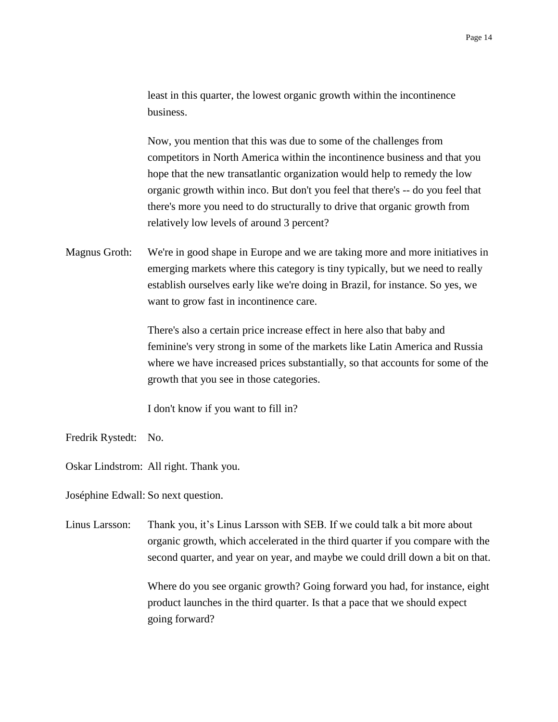least in this quarter, the lowest organic growth within the incontinence business.

Now, you mention that this was due to some of the challenges from competitors in North America within the incontinence business and that you hope that the new transatlantic organization would help to remedy the low organic growth within inco. But don't you feel that there's -- do you feel that there's more you need to do structurally to drive that organic growth from relatively low levels of around 3 percent?

Magnus Groth: We're in good shape in Europe and we are taking more and more initiatives in emerging markets where this category is tiny typically, but we need to really establish ourselves early like we're doing in Brazil, for instance. So yes, we want to grow fast in incontinence care.

> There's also a certain price increase effect in here also that baby and feminine's very strong in some of the markets like Latin America and Russia where we have increased prices substantially, so that accounts for some of the growth that you see in those categories.

I don't know if you want to fill in?

Fredrik Rystedt: No.

Oskar Lindstrom: All right. Thank you.

Joséphine Edwall: So next question.

Linus Larsson: Thank you, it's Linus Larsson with SEB. If we could talk a bit more about organic growth, which accelerated in the third quarter if you compare with the second quarter, and year on year, and maybe we could drill down a bit on that.

> Where do you see organic growth? Going forward you had, for instance, eight product launches in the third quarter. Is that a pace that we should expect going forward?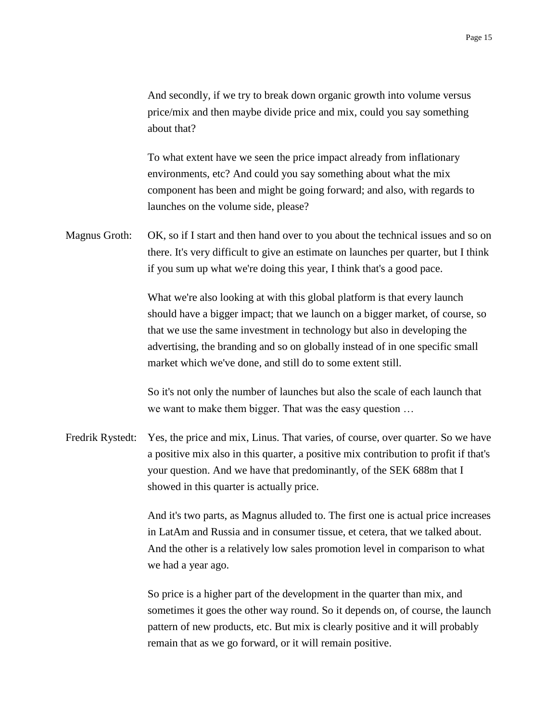And secondly, if we try to break down organic growth into volume versus price/mix and then maybe divide price and mix, could you say something about that?

To what extent have we seen the price impact already from inflationary environments, etc? And could you say something about what the mix component has been and might be going forward; and also, with regards to launches on the volume side, please?

Magnus Groth: OK, so if I start and then hand over to you about the technical issues and so on there. It's very difficult to give an estimate on launches per quarter, but I think if you sum up what we're doing this year, I think that's a good pace.

> What we're also looking at with this global platform is that every launch should have a bigger impact; that we launch on a bigger market, of course, so that we use the same investment in technology but also in developing the advertising, the branding and so on globally instead of in one specific small market which we've done, and still do to some extent still.

So it's not only the number of launches but also the scale of each launch that we want to make them bigger. That was the easy question …

Fredrik Rystedt: Yes, the price and mix, Linus. That varies, of course, over quarter. So we have a positive mix also in this quarter, a positive mix contribution to profit if that's your question. And we have that predominantly, of the SEK 688m that I showed in this quarter is actually price.

> And it's two parts, as Magnus alluded to. The first one is actual price increases in LatAm and Russia and in consumer tissue, et cetera, that we talked about. And the other is a relatively low sales promotion level in comparison to what we had a year ago.

> So price is a higher part of the development in the quarter than mix, and sometimes it goes the other way round. So it depends on, of course, the launch pattern of new products, etc. But mix is clearly positive and it will probably remain that as we go forward, or it will remain positive.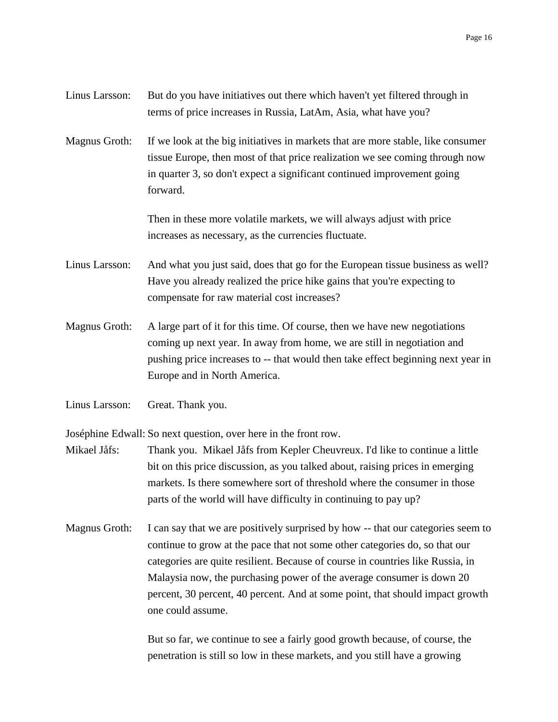| Linus Larsson: | But do you have initiatives out there which haven't yet filtered through in |
|----------------|-----------------------------------------------------------------------------|
|                | terms of price increases in Russia, LatAm, Asia, what have you?             |

Magnus Groth: If we look at the big initiatives in markets that are more stable, like consumer tissue Europe, then most of that price realization we see coming through now in quarter 3, so don't expect a significant continued improvement going forward.

> Then in these more volatile markets, we will always adjust with price increases as necessary, as the currencies fluctuate.

- Linus Larsson: And what you just said, does that go for the European tissue business as well? Have you already realized the price hike gains that you're expecting to compensate for raw material cost increases?
- Magnus Groth: A large part of it for this time. Of course, then we have new negotiations coming up next year. In away from home, we are still in negotiation and pushing price increases to -- that would then take effect beginning next year in Europe and in North America.
- Linus Larsson: Great. Thank you.

Joséphine Edwall: So next question, over here in the front row.

- Mikael Jåfs: Thank you. Mikael Jåfs from Kepler Cheuvreux. I'd like to continue a little bit on this price discussion, as you talked about, raising prices in emerging markets. Is there somewhere sort of threshold where the consumer in those parts of the world will have difficulty in continuing to pay up?
- Magnus Groth: I can say that we are positively surprised by how -- that our categories seem to continue to grow at the pace that not some other categories do, so that our categories are quite resilient. Because of course in countries like Russia, in Malaysia now, the purchasing power of the average consumer is down 20 percent, 30 percent, 40 percent. And at some point, that should impact growth one could assume.

But so far, we continue to see a fairly good growth because, of course, the penetration is still so low in these markets, and you still have a growing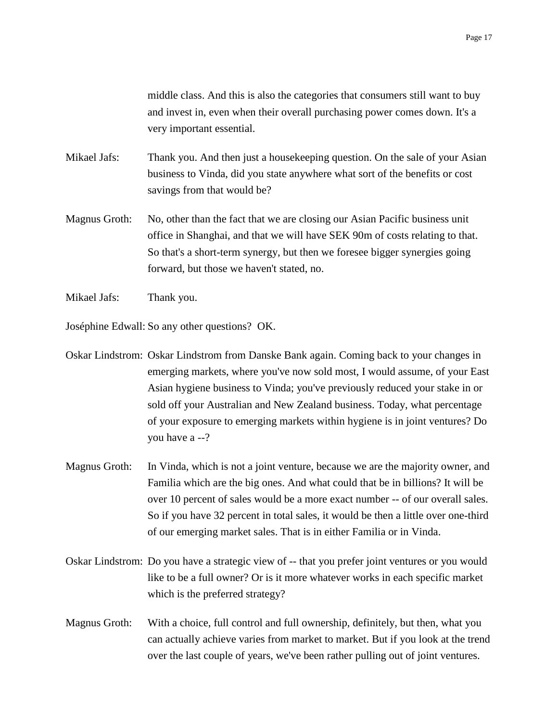middle class. And this is also the categories that consumers still want to buy and invest in, even when their overall purchasing power comes down. It's a very important essential.

- Mikael Jafs: Thank you. And then just a housekeeping question. On the sale of your Asian business to Vinda, did you state anywhere what sort of the benefits or cost savings from that would be?
- Magnus Groth: No, other than the fact that we are closing our Asian Pacific business unit office in Shanghai, and that we will have SEK 90m of costs relating to that. So that's a short-term synergy, but then we foresee bigger synergies going forward, but those we haven't stated, no.
- Mikael Jafs: Thank you.

Joséphine Edwall: So any other questions? OK.

Oskar Lindstrom: Oskar Lindstrom from Danske Bank again. Coming back to your changes in emerging markets, where you've now sold most, I would assume, of your East Asian hygiene business to Vinda; you've previously reduced your stake in or sold off your Australian and New Zealand business. Today, what percentage of your exposure to emerging markets within hygiene is in joint ventures? Do you have a --?

- Magnus Groth: In Vinda, which is not a joint venture, because we are the majority owner, and Familia which are the big ones. And what could that be in billions? It will be over 10 percent of sales would be a more exact number -- of our overall sales. So if you have 32 percent in total sales, it would be then a little over one-third of our emerging market sales. That is in either Familia or in Vinda.
- Oskar Lindstrom: Do you have a strategic view of -- that you prefer joint ventures or you would like to be a full owner? Or is it more whatever works in each specific market which is the preferred strategy?
- Magnus Groth: With a choice, full control and full ownership, definitely, but then, what you can actually achieve varies from market to market. But if you look at the trend over the last couple of years, we've been rather pulling out of joint ventures.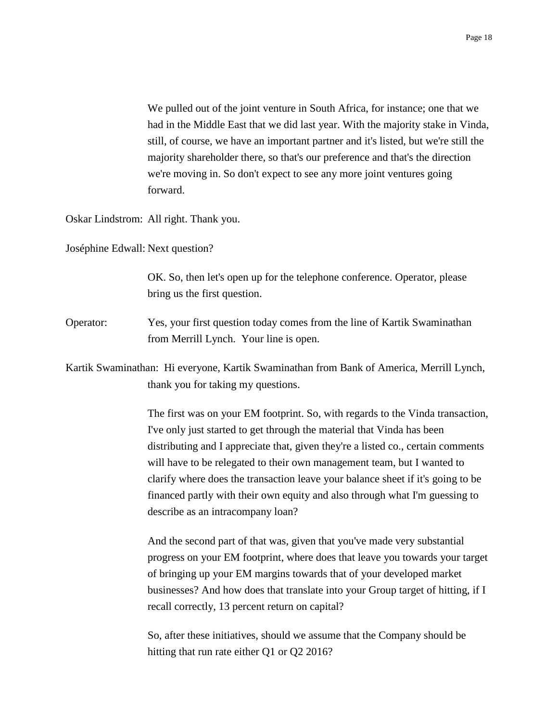We pulled out of the joint venture in South Africa, for instance; one that we had in the Middle East that we did last year. With the majority stake in Vinda, still, of course, we have an important partner and it's listed, but we're still the majority shareholder there, so that's our preference and that's the direction we're moving in. So don't expect to see any more joint ventures going forward.

Oskar Lindstrom: All right. Thank you.

Joséphine Edwall: Next question?

OK. So, then let's open up for the telephone conference. Operator, please bring us the first question.

Operator: Yes, your first question today comes from the line of Kartik Swaminathan from Merrill Lynch. Your line is open.

Kartik Swaminathan: Hi everyone, Kartik Swaminathan from Bank of America, Merrill Lynch, thank you for taking my questions.

> The first was on your EM footprint. So, with regards to the Vinda transaction, I've only just started to get through the material that Vinda has been distributing and I appreciate that, given they're a listed co., certain comments will have to be relegated to their own management team, but I wanted to clarify where does the transaction leave your balance sheet if it's going to be financed partly with their own equity and also through what I'm guessing to describe as an intracompany loan?

> And the second part of that was, given that you've made very substantial progress on your EM footprint, where does that leave you towards your target of bringing up your EM margins towards that of your developed market businesses? And how does that translate into your Group target of hitting, if I recall correctly, 13 percent return on capital?

So, after these initiatives, should we assume that the Company should be hitting that run rate either Q1 or Q2 2016?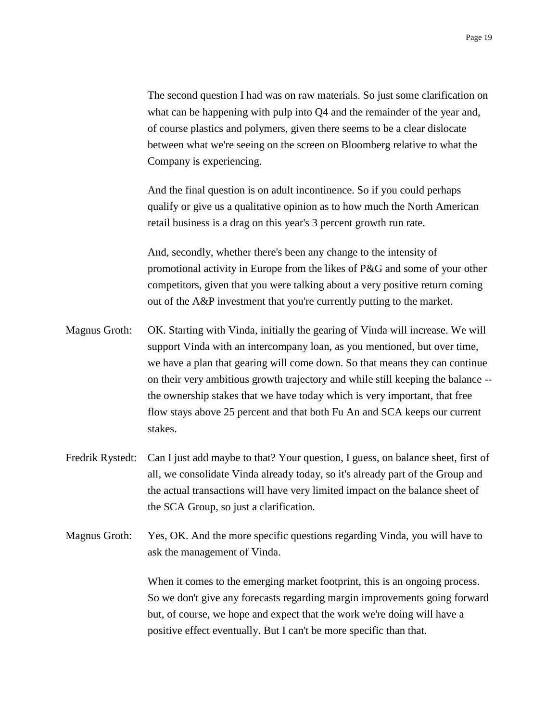The second question I had was on raw materials. So just some clarification on what can be happening with pulp into Q4 and the remainder of the year and, of course plastics and polymers, given there seems to be a clear dislocate between what we're seeing on the screen on Bloomberg relative to what the Company is experiencing.

And the final question is on adult incontinence. So if you could perhaps qualify or give us a qualitative opinion as to how much the North American retail business is a drag on this year's 3 percent growth run rate.

And, secondly, whether there's been any change to the intensity of promotional activity in Europe from the likes of P&G and some of your other competitors, given that you were talking about a very positive return coming out of the A&P investment that you're currently putting to the market.

- Magnus Groth: OK. Starting with Vinda, initially the gearing of Vinda will increase. We will support Vinda with an intercompany loan, as you mentioned, but over time, we have a plan that gearing will come down. So that means they can continue on their very ambitious growth trajectory and while still keeping the balance - the ownership stakes that we have today which is very important, that free flow stays above 25 percent and that both Fu An and SCA keeps our current stakes.
- Fredrik Rystedt: Can I just add maybe to that? Your question, I guess, on balance sheet, first of all, we consolidate Vinda already today, so it's already part of the Group and the actual transactions will have very limited impact on the balance sheet of the SCA Group, so just a clarification.
- Magnus Groth: Yes, OK. And the more specific questions regarding Vinda, you will have to ask the management of Vinda.

When it comes to the emerging market footprint, this is an ongoing process. So we don't give any forecasts regarding margin improvements going forward but, of course, we hope and expect that the work we're doing will have a positive effect eventually. But I can't be more specific than that.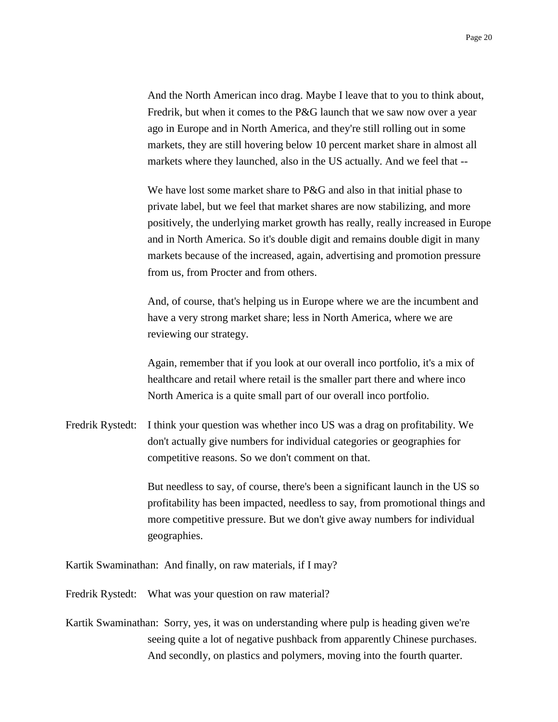And the North American inco drag. Maybe I leave that to you to think about, Fredrik, but when it comes to the P&G launch that we saw now over a year ago in Europe and in North America, and they're still rolling out in some markets, they are still hovering below 10 percent market share in almost all markets where they launched, also in the US actually. And we feel that --

We have lost some market share to P&G and also in that initial phase to private label, but we feel that market shares are now stabilizing, and more positively, the underlying market growth has really, really increased in Europe and in North America. So it's double digit and remains double digit in many markets because of the increased, again, advertising and promotion pressure from us, from Procter and from others.

And, of course, that's helping us in Europe where we are the incumbent and have a very strong market share; less in North America, where we are reviewing our strategy.

Again, remember that if you look at our overall inco portfolio, it's a mix of healthcare and retail where retail is the smaller part there and where inco North America is a quite small part of our overall inco portfolio.

Fredrik Rystedt: I think your question was whether inco US was a drag on profitability. We don't actually give numbers for individual categories or geographies for competitive reasons. So we don't comment on that.

> But needless to say, of course, there's been a significant launch in the US so profitability has been impacted, needless to say, from promotional things and more competitive pressure. But we don't give away numbers for individual geographies.

Kartik Swaminathan: And finally, on raw materials, if I may?

Fredrik Rystedt: What was your question on raw material?

Kartik Swaminathan: Sorry, yes, it was on understanding where pulp is heading given we're seeing quite a lot of negative pushback from apparently Chinese purchases. And secondly, on plastics and polymers, moving into the fourth quarter.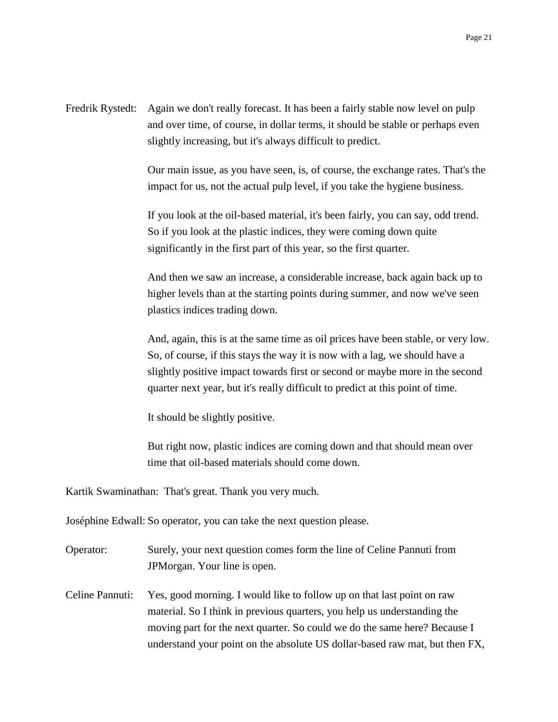Fredrik Rystedt: Again we don't really forecast. It has been a fairly stable now level on pulp and over time, of course, in dollar terms, it should be stable or perhaps even slightly increasing, but it's always difficult to predict.

> Our main issue, as you have seen, is, of course, the exchange rates. That's the impact for us, not the actual pulp level, if you take the hygiene business.

If you look at the oil-based material, it's been fairly, you can say, odd trend. So if you look at the plastic indices, they were coming down quite significantly in the first part of this year, so the first quarter.

And then we saw an increase, a considerable increase, back again back up to higher levels than at the starting points during summer, and now we've seen plastics indices trading down.

And, again, this is at the same time as oil prices have been stable, or very low. So, of course, if this stays the way it is now with a lag, we should have a slightly positive impact towards first or second or maybe more in the second quarter next year, but it's really difficult to predict at this point of time.

It should be slightly positive.

But right now, plastic indices are coming down and that should mean over time that oil-based materials should come down.

Kartik Swaminathan: That's great. Thank you very much.

Joséphine Edwall: So operator, you can take the next question please.

| Operator: | Surely, your next question comes form the line of Celine Pannuti from |
|-----------|-----------------------------------------------------------------------|
|           | JPM organ. Your line is open.                                         |

Celine Pannuti: Yes, good morning. I would like to follow up on that last point on raw material. So I think in previous quarters, you help us understanding the moving part for the next quarter. So could we do the same here? Because I understand your point on the absolute US dollar-based raw mat, but then FX,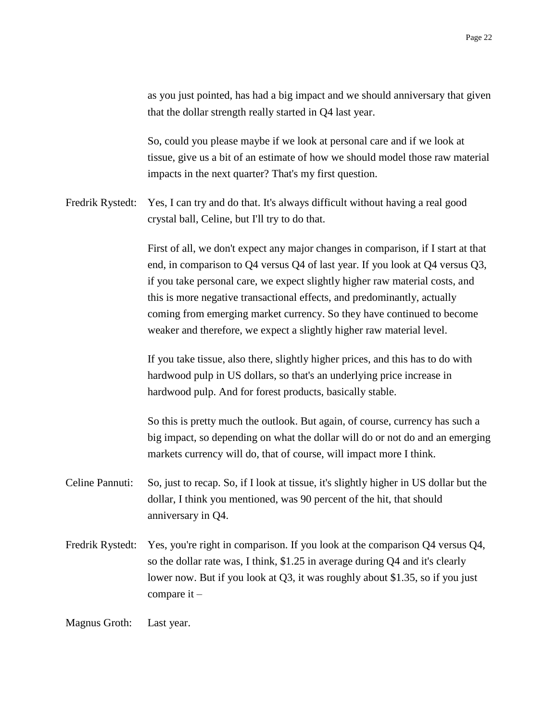as you just pointed, has had a big impact and we should anniversary that given that the dollar strength really started in Q4 last year.

So, could you please maybe if we look at personal care and if we look at tissue, give us a bit of an estimate of how we should model those raw material impacts in the next quarter? That's my first question.

Fredrik Rystedt: Yes, I can try and do that. It's always difficult without having a real good crystal ball, Celine, but I'll try to do that.

> First of all, we don't expect any major changes in comparison, if I start at that end, in comparison to Q4 versus Q4 of last year. If you look at Q4 versus Q3, if you take personal care, we expect slightly higher raw material costs, and this is more negative transactional effects, and predominantly, actually coming from emerging market currency. So they have continued to become weaker and therefore, we expect a slightly higher raw material level.

If you take tissue, also there, slightly higher prices, and this has to do with hardwood pulp in US dollars, so that's an underlying price increase in hardwood pulp. And for forest products, basically stable.

So this is pretty much the outlook. But again, of course, currency has such a big impact, so depending on what the dollar will do or not do and an emerging markets currency will do, that of course, will impact more I think.

- Celine Pannuti: So, just to recap. So, if I look at tissue, it's slightly higher in US dollar but the dollar, I think you mentioned, was 90 percent of the hit, that should anniversary in Q4.
- Fredrik Rystedt: Yes, you're right in comparison. If you look at the comparison Q4 versus Q4, so the dollar rate was, I think, \$1.25 in average during Q4 and it's clearly lower now. But if you look at Q3, it was roughly about \$1.35, so if you just compare it –

Magnus Groth: Last year.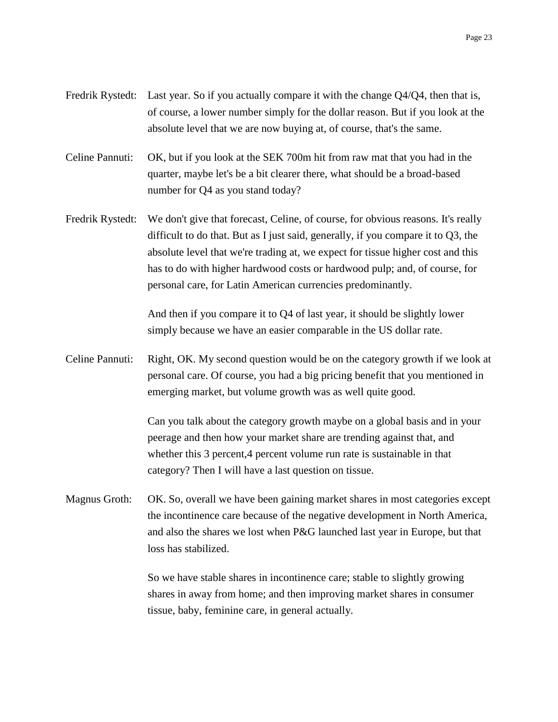- Fredrik Rystedt: Last year. So if you actually compare it with the change Q4/Q4, then that is, of course, a lower number simply for the dollar reason. But if you look at the absolute level that we are now buying at, of course, that's the same.
- Celine Pannuti: OK, but if you look at the SEK 700m hit from raw mat that you had in the quarter, maybe let's be a bit clearer there, what should be a broad-based number for Q4 as you stand today?
- Fredrik Rystedt: We don't give that forecast, Celine, of course, for obvious reasons. It's really difficult to do that. But as I just said, generally, if you compare it to Q3, the absolute level that we're trading at, we expect for tissue higher cost and this has to do with higher hardwood costs or hardwood pulp; and, of course, for personal care, for Latin American currencies predominantly.

And then if you compare it to Q4 of last year, it should be slightly lower simply because we have an easier comparable in the US dollar rate.

Celine Pannuti: Right, OK. My second question would be on the category growth if we look at personal care. Of course, you had a big pricing benefit that you mentioned in emerging market, but volume growth was as well quite good.

> Can you talk about the category growth maybe on a global basis and in your peerage and then how your market share are trending against that, and whether this 3 percent, 4 percent volume run rate is sustainable in that category? Then I will have a last question on tissue.

Magnus Groth: OK. So, overall we have been gaining market shares in most categories except the incontinence care because of the negative development in North America, and also the shares we lost when P&G launched last year in Europe, but that loss has stabilized.

> So we have stable shares in incontinence care; stable to slightly growing shares in away from home; and then improving market shares in consumer tissue, baby, feminine care, in general actually.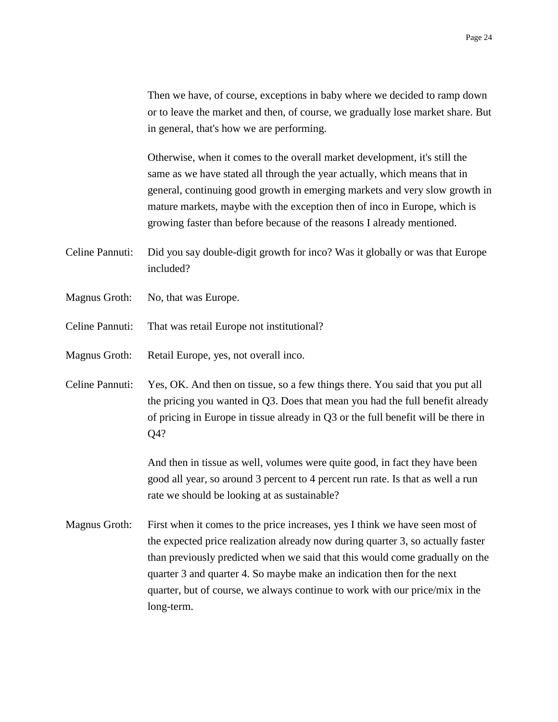Then we have, of course, exceptions in baby where we decided to ramp down or to leave the market and then, of course, we gradually lose market share. But in general, that's how we are performing.

Otherwise, when it comes to the overall market development, it's still the same as we have stated all through the year actually, which means that in general, continuing good growth in emerging markets and very slow growth in mature markets, maybe with the exception then of inco in Europe, which is growing faster than before because of the reasons I already mentioned.

- Celine Pannuti: Did you say double-digit growth for inco? Was it globally or was that Europe included?
- Magnus Groth: No, that was Europe.
- Celine Pannuti: That was retail Europe not institutional?
- Magnus Groth: Retail Europe, yes, not overall inco.
- Celine Pannuti: Yes, OK. And then on tissue, so a few things there. You said that you put all the pricing you wanted in Q3. Does that mean you had the full benefit already of pricing in Europe in tissue already in Q3 or the full benefit will be there in Q4?

And then in tissue as well, volumes were quite good, in fact they have been good all year, so around 3 percent to 4 percent run rate. Is that as well a run rate we should be looking at as sustainable?

Magnus Groth: First when it comes to the price increases, yes I think we have seen most of the expected price realization already now during quarter 3, so actually faster than previously predicted when we said that this would come gradually on the quarter 3 and quarter 4. So maybe make an indication then for the next quarter, but of course, we always continue to work with our price/mix in the long-term.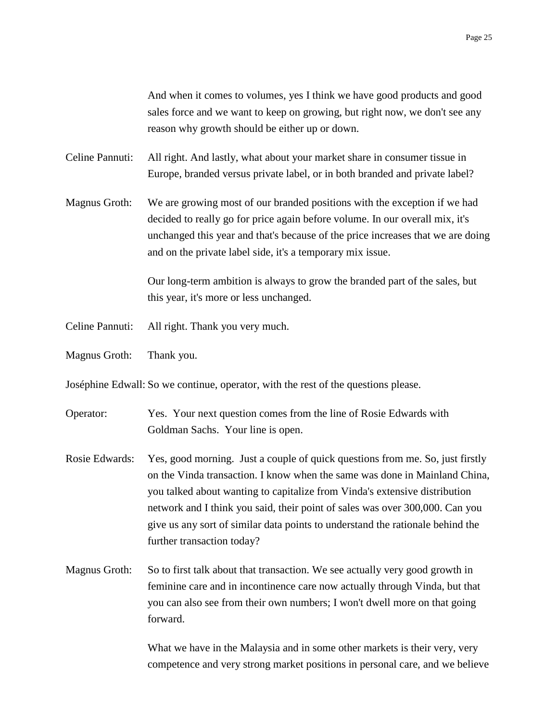And when it comes to volumes, yes I think we have good products and good sales force and we want to keep on growing, but right now, we don't see any reason why growth should be either up or down.

Celine Pannuti: All right. And lastly, what about your market share in consumer tissue in Europe, branded versus private label, or in both branded and private label?

Magnus Groth: We are growing most of our branded positions with the exception if we had decided to really go for price again before volume. In our overall mix, it's unchanged this year and that's because of the price increases that we are doing and on the private label side, it's a temporary mix issue.

> Our long-term ambition is always to grow the branded part of the sales, but this year, it's more or less unchanged.

- Celine Pannuti: All right. Thank you very much.
- Magnus Groth: Thank you.

Joséphine Edwall: So we continue, operator, with the rest of the questions please.

- Operator: Yes. Your next question comes from the line of Rosie Edwards with Goldman Sachs. Your line is open.
- Rosie Edwards: Yes, good morning. Just a couple of quick questions from me. So, just firstly on the Vinda transaction. I know when the same was done in Mainland China, you talked about wanting to capitalize from Vinda's extensive distribution network and I think you said, their point of sales was over 300,000. Can you give us any sort of similar data points to understand the rationale behind the further transaction today?
- Magnus Groth: So to first talk about that transaction. We see actually very good growth in feminine care and in incontinence care now actually through Vinda, but that you can also see from their own numbers; I won't dwell more on that going forward.

What we have in the Malaysia and in some other markets is their very, very competence and very strong market positions in personal care, and we believe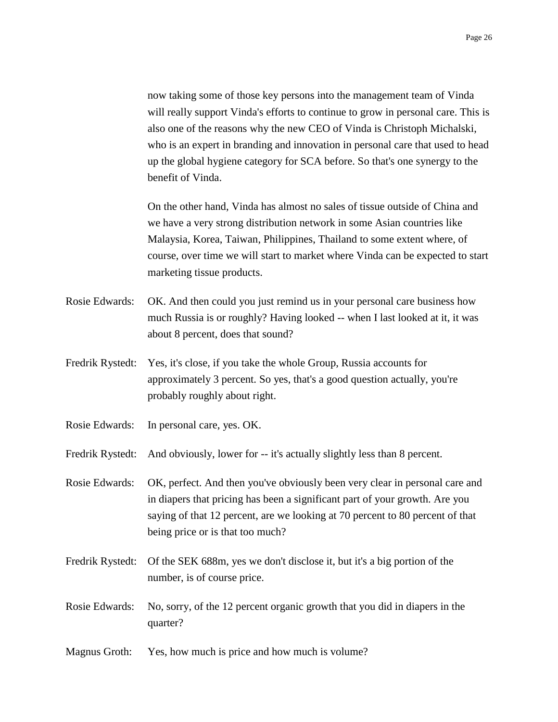now taking some of those key persons into the management team of Vinda will really support Vinda's efforts to continue to grow in personal care. This is also one of the reasons why the new CEO of Vinda is Christoph Michalski, who is an expert in branding and innovation in personal care that used to head up the global hygiene category for SCA before. So that's one synergy to the benefit of Vinda.

On the other hand, Vinda has almost no sales of tissue outside of China and we have a very strong distribution network in some Asian countries like Malaysia, Korea, Taiwan, Philippines, Thailand to some extent where, of course, over time we will start to market where Vinda can be expected to start marketing tissue products.

- Rosie Edwards: OK. And then could you just remind us in your personal care business how much Russia is or roughly? Having looked -- when I last looked at it, it was about 8 percent, does that sound?
- Fredrik Rystedt: Yes, it's close, if you take the whole Group, Russia accounts for approximately 3 percent. So yes, that's a good question actually, you're probably roughly about right.
- Rosie Edwards: In personal care, yes. OK.

Fredrik Rystedt: And obviously, lower for -- it's actually slightly less than 8 percent.

Rosie Edwards: OK, perfect. And then you've obviously been very clear in personal care and in diapers that pricing has been a significant part of your growth. Are you saying of that 12 percent, are we looking at 70 percent to 80 percent of that being price or is that too much?

- Fredrik Rystedt: Of the SEK 688m, yes we don't disclose it, but it's a big portion of the number, is of course price.
- Rosie Edwards: No, sorry, of the 12 percent organic growth that you did in diapers in the quarter?
- Magnus Groth: Yes, how much is price and how much is volume?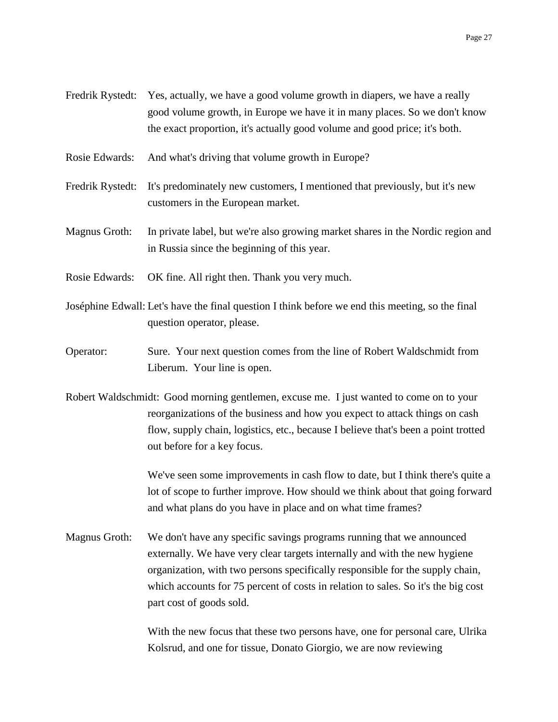- Fredrik Rystedt: Yes, actually, we have a good volume growth in diapers, we have a really good volume growth, in Europe we have it in many places. So we don't know the exact proportion, it's actually good volume and good price; it's both.
- Rosie Edwards: And what's driving that volume growth in Europe?
- Fredrik Rystedt: It's predominately new customers, I mentioned that previously, but it's new customers in the European market.
- Magnus Groth: In private label, but we're also growing market shares in the Nordic region and in Russia since the beginning of this year.
- Rosie Edwards: OK fine. All right then. Thank you very much.
- Joséphine Edwall: Let's have the final question I think before we end this meeting, so the final question operator, please.
- Operator: Sure. Your next question comes from the line of Robert Waldschmidt from Liberum. Your line is open.
- Robert Waldschmidt: Good morning gentlemen, excuse me. I just wanted to come on to your reorganizations of the business and how you expect to attack things on cash flow, supply chain, logistics, etc., because I believe that's been a point trotted out before for a key focus.

We've seen some improvements in cash flow to date, but I think there's quite a lot of scope to further improve. How should we think about that going forward and what plans do you have in place and on what time frames?

Magnus Groth: We don't have any specific savings programs running that we announced externally. We have very clear targets internally and with the new hygiene organization, with two persons specifically responsible for the supply chain, which accounts for 75 percent of costs in relation to sales. So it's the big cost part cost of goods sold.

> With the new focus that these two persons have, one for personal care, Ulrika Kolsrud, and one for tissue, Donato Giorgio, we are now reviewing